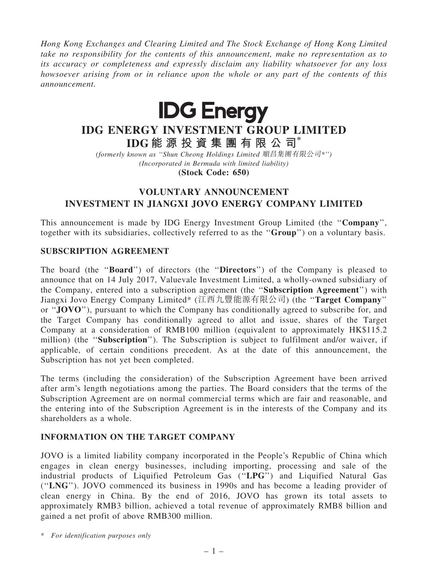Hong Kong Exchanges and Clearing Limited and The Stock Exchange of Hong Kong Limited take no responsibility for the contents of this announcement, make no representation as to its accuracy or completeness and expressly disclaim any liability whatsoever for any loss howsoever arising from or in reliance upon the whole or any part of the contents of this announcement.



# IDG ENERGY INVESTMENT GROUP LIMITED IDG 能 源 投 資 集 團 有 限 公 司\*

(formerly known as ''Shun Cheong Holdings Limited 順昌集團有限公司\*'') (Incorporated in Bermuda with limited liability)

(Stock Code: 650)

## VOLUNTARY ANNOUNCEMENT INVESTMENT IN JIANGXI JOVO ENERGY COMPANY LIMITED

This announcement is made by IDG Energy Investment Group Limited (the ''Company'', together with its subsidiaries, collectively referred to as the ''Group'') on a voluntary basis.

## SUBSCRIPTION AGREEMENT

The board (the "Board") of directors (the "Directors") of the Company is pleased to announce that on 14 July 2017, Valuevale Investment Limited, a wholly-owned subsidiary of the Company, entered into a subscription agreement (the ''Subscription Agreement'') with Jiangxi Jovo Energy Company Limited\* (江西九豐能源有限公司) (the ''Target Company'' or ''JOVO''), pursuant to which the Company has conditionally agreed to subscribe for, and the Target Company has conditionally agreed to allot and issue, shares of the Target Company at a consideration of RMB100 million (equivalent to approximately HK\$115.2 million) (the "Subscription"). The Subscription is subject to fulfilment and/or waiver, if applicable, of certain conditions precedent. As at the date of this announcement, the Subscription has not yet been completed.

The terms (including the consideration) of the Subscription Agreement have been arrived after arm's length negotiations among the parties. The Board considers that the terms of the Subscription Agreement are on normal commercial terms which are fair and reasonable, and the entering into of the Subscription Agreement is in the interests of the Company and its shareholders as a whole.

## INFORMATION ON THE TARGET COMPANY

JOVO is a limited liability company incorporated in the People's Republic of China which engages in clean energy businesses, including importing, processing and sale of the industrial products of Liquified Petroleum Gas (''LPG'') and Liquified Natural Gas (''LNG''). JOVO commenced its business in 1990s and has become a leading provider of clean energy in China. By the end of 2016, JOVO has grown its total assets to approximately RMB3 billion, achieved a total revenue of approximately RMB8 billion and gained a net profit of above RMB300 million.

\* For identification purposes only